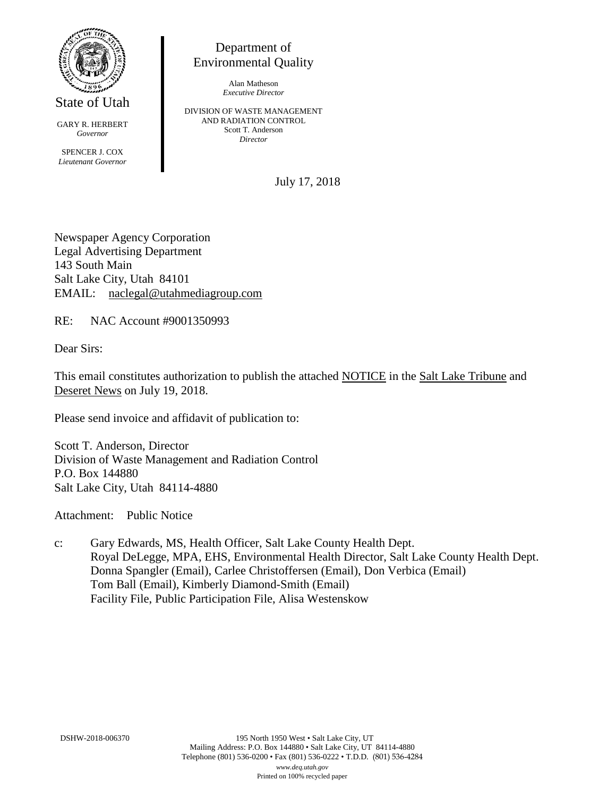

State of Utah

GARY R. HERBERT *Governor* SPENCER J. COX *Lieutenant Governor*

Department of Environmental Quality

> Alan Matheson *Executive Director*

DIVISION OF WASTE MANAGEMENT AND RADIATION CONTROL Scott T. Anderson *Director*

July 17, 2018

Newspaper Agency Corporation Legal Advertising Department 143 South Main Salt Lake City, Utah 84101 EMAIL: naclegal@utahmediagroup.com

RE: NAC Account #9001350993

Dear Sirs:

This email constitutes authorization to publish the attached NOTICE in the Salt Lake Tribune and Deseret News on July 19, 2018.

Please send invoice and affidavit of publication to:

Scott T. Anderson, Director Division of Waste Management and Radiation Control P.O. Box 144880 Salt Lake City, Utah 84114-4880

Attachment: Public Notice

c: Gary Edwards, MS, Health Officer, Salt Lake County Health Dept. Royal DeLegge, MPA, EHS, Environmental Health Director, Salt Lake County Health Dept. Donna Spangler (Email), Carlee Christoffersen (Email), Don Verbica (Email) Tom Ball (Email), Kimberly Diamond-Smith (Email) Facility File, Public Participation File, Alisa Westenskow